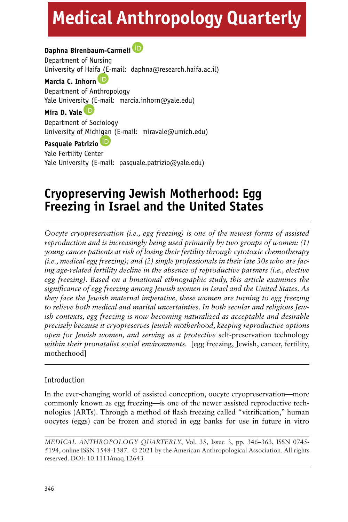# **Medical Anthropology Quarterly**

# **Daphna Birenbaum-Carmeli**

Department of Nursing University of Hai[fa \(E-](https://orcid.org/0000-0001-7456-7120)mail: daphna@research.haifa.ac.il) **Marcia C. Inhorn** Department of Anthropology Yale Universi[ty \(E](https://orcid.org/0000-0002-6999-159X)-mail: marcia.inhorn@yale.edu) **Mira D. Vale** Department of Sociology University of Mich[igan](https://orcid.org/0000-0003-4796-7078) (E-mail: miravale@umich.edu) **Pasquale Patrizio** Yale Fertility Center Yale University (E-mail: pasquale.patrizio@yale.edu)

# **Cryopreserving Jewish Motherhood: Egg Freezing in Israel and the United States**

*Oocyte cryopreservation (i.e., egg freezing) is one of the newest forms of assisted reproduction and is increasingly being used primarily by two groups of women: (1) young cancer patients at risk of losing their fertility through cytotoxic chemotherapy (i.e., medical egg freezing); and (2) single professionals in their late 30s who are facing age-related fertility decline in the absence of reproductive partners (i.e., elective egg freezing). Based on a binational ethnographic study, this article examines the significance of egg freezing among Jewish women in Israel and the United States. As they face the Jewish maternal imperative, these women are turning to egg freezing to relieve both medical and marital uncertainties. In both secular and religious Jewish contexts, egg freezing is now becoming naturalized as acceptable and desirable precisely because it cryopreserves Jewish motherhood, keeping reproductive options open for Jewish women, and serving as a protective* self-preservation technology *within their pronatalist social environments.* [egg freezing, Jewish, cancer, fertility, motherhood]

# Introduction

In the ever-changing world of assisted conception, oocyte cryopreservation—more commonly known as egg freezing—is one of the newer assisted reproductive technologies (ARTs). Through a method of flash freezing called "vitrification," human oocytes (eggs) can be frozen and stored in egg banks for use in future in vitro

*MEDICAL ANTHROPOLOGY QUARTERLY*, Vol. 35, Issue 3, pp. 346–363, ISSN 0745- 5194, online ISSN 1548-1387. © 2021 by the American Anthropological Association. All rights reserved. DOI: 10.1111/maq.12643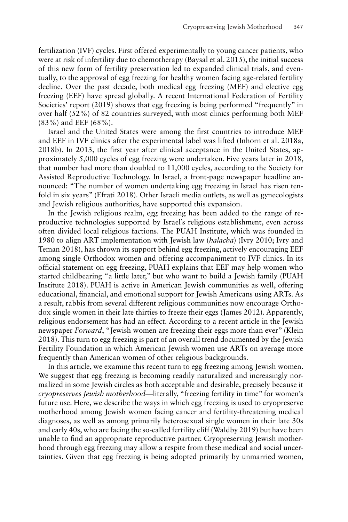fertilization (IVF) cycles. First offered experimentally to young cancer patients, who were at risk of infertility due to chemotherapy (Baysal et al. 2015), the initial success of this new form of fertility preservation led to expanded clinical trials, and eventually, to the approval of egg freezing for healthy women facing age-related fertility decline. Over the past decade, both medical egg freezing (MEF) and elective egg freezing (EEF) have spread globally. A recent International Federation of Fertility Societies' report (2019) shows that egg freezing is being performed "frequently" in over half (52%) of 82 countries surveyed, with most clinics performing both MEF (83%) and EEF (68%).

Israel and the United States were among the first countries to introduce MEF and EEF in IVF clinics after the experimental label was lifted (Inhorn et al. 2018a, 2018b). In 2013, the first year after clinical acceptance in the United States, approximately 5,000 cycles of egg freezing were undertaken. Five years later in 2018, that number had more than doubled to 11,000 cycles, according to the Society for Assisted Reproductive Technology. In Israel, a front-page newspaper headline announced: "The number of women undertaking egg freezing in Israel has risen tenfold in six years" (Efrati 2018). Other Israeli media outlets, as well as gynecologists and Jewish religious authorities, have supported this expansion.

In the Jewish religious realm, egg freezing has been added to the range of reproductive technologies supported by Israel's religious establishment, even across often divided local religious factions. The PUAH Institute, which was founded in 1980 to align ART implementation with Jewish law (*halacha*) (Ivry 2010; Ivry and Teman 2018), has thrown its support behind egg freezing, actively encouraging EEF among single Orthodox women and offering accompaniment to IVF clinics. In its official statement on egg freezing, PUAH explains that EEF may help women who started childbearing "a little later," but who want to build a Jewish family (PUAH Institute 2018). PUAH is active in American Jewish communities as well, offering educational, financial, and emotional support for Jewish Americans using ARTs. As a result, rabbis from several different religious communities now encourage Orthodox single women in their late thirties to freeze their eggs (James 2012). Apparently, religious endorsement has had an effect. According to a recent article in the Jewish newspaper *Forward*, "Jewish women are freezing their eggs more than ever" (Klein 2018). This turn to egg freezing is part of an overall trend documented by the Jewish Fertility Foundation in which American Jewish women use ARTs on average more frequently than American women of other religious backgrounds.

In this article, we examine this recent turn to egg freezing among Jewish women. We suggest that egg freezing is becoming readily naturalized and increasingly normalized in some Jewish circles as both acceptable and desirable, precisely because it *cryopreserves Jewish motherhood*—literally, "freezing fertility in time" for women's future use. Here, we describe the ways in which egg freezing is used to cryopreserve motherhood among Jewish women facing cancer and fertility-threatening medical diagnoses, as well as among primarily heterosexual single women in their late 30s and early 40s, who are facing the so-called fertility cliff (Waldby 2019) but have been unable to find an appropriate reproductive partner. Cryopreserving Jewish motherhood through egg freezing may allow a respite from these medical and social uncertainties. Given that egg freezing is being adopted primarily by unmarried women,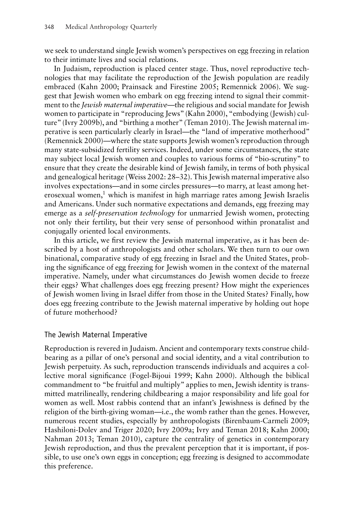we seek to understand single Jewish women's perspectives on egg freezing in relation to their intimate lives and social relations.

In Judaism, reproduction is placed center stage. Thus, novel reproductive technologies that may facilitate the reproduction of the Jewish population are readily embraced (Kahn 2000; Prainsack and Firestine 2005; Remennick 2006). We suggest that Jewish women who embark on egg freezing intend to signal their commitment to the *Jewish maternal imperative*—the religious and social mandate for Jewish women to participate in "reproducing Jews" (Kahn 2000), "embodying (Jewish) culture" (Ivry 2009b), and "birthing a mother" (Teman 2010). The Jewish maternal imperative is seen particularly clearly in Israel—the "land of imperative motherhood" (Remennick 2000)—where the state supports Jewish women's reproduction through many state-subsidized fertility services. Indeed, under some circumstances, the state may subject local Jewish women and couples to various forms of "bio-scrutiny" to ensure that they create the desirable kind of Jewish family, in terms of both physical and genealogical heritage (Weiss 2002: 28–32). This Jewish maternal imperative also involves expectations—and in some circles pressures—to marry, at least among heterosexual women, $<sup>1</sup>$  which is manifest in high marriage rates among Jewish Israelis</sup> and Americans. Under such normative expectations and demands, egg freezing may emerge as a *self-preservation technology* for unmarried Jewish women, protecting not only their fertility, but their very sense of personhood within pronatalist and conjugally oriented local environments.

In this article, we first review the Jewish maternal imperative, as it has been described by a host of anthropologists and other scholars. We then turn to our own binational, comparative study of egg freezing in Israel and the United States, probing the significance of egg freezing for Jewish women in the context of the maternal imperative. Namely, under what circumstances do Jewish women decide to freeze their eggs? What challenges does egg freezing present? How might the experiences of Jewish women living in Israel differ from those in the United States? Finally, how does egg freezing contribute to the Jewish maternal imperative by holding out hope of future motherhood?

# The Jewish Maternal Imperative

Reproduction is revered in Judaism. Ancient and contemporary texts construe childbearing as a pillar of one's personal and social identity, and a vital contribution to Jewish perpetuity. As such, reproduction transcends individuals and acquires a collective moral significance (Fogel-Bijoui 1999; Kahn 2000). Although the biblical commandment to "be fruitful and multiply" applies to men, Jewish identity is transmitted matrilineally, rendering childbearing a major responsibility and life goal for women as well. Most rabbis contend that an infant's Jewishness is defined by the religion of the birth-giving woman—i.e., the womb rather than the genes. However, numerous recent studies, especially by anthropologists (Birenbaum-Carmeli 2009; Hashiloni-Dolev and Triger 2020; Ivry 2009a; Ivry and Teman 2018; Kahn 2000; Nahman 2013; Teman 2010), capture the centrality of genetics in contemporary Jewish reproduction, and thus the prevalent perception that it is important, if possible, to use one's own eggs in conception; egg freezing is designed to accommodate this preference.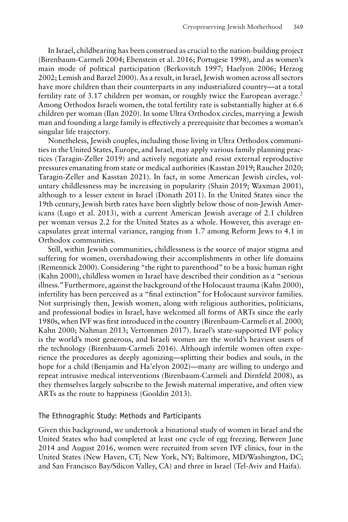In Israel, childbearing has been construed as crucial to the nation-building project (Birenbaum-Carmeli 2004; Ebenstein et al. 2016; Portugese 1998), and as women's main mode of political participation (Berkovitch 1997; Haelyon 2006; Herzog 2002; Lemish and Barzel 2000). As a result, in Israel, Jewish women across all sectors have more children than their counterparts in any industrialized country—at a total fertility rate of 3.17 children per woman, or roughly twice the European average.<sup>2</sup> Among Orthodox Israeli women, the total fertility rate is substantially higher at 6.6 children per woman (Ilan 2020). In some Ultra Orthodox circles, marrying a Jewish man and founding a large family is effectively a prerequisite that becomes a woman's singular life trajectory.

Nonetheless, Jewish couples, including those living in Ultra Orthodox communities in the United States, Europe, and Israel, may apply various family planning practices (Taragin-Zeller 2019) and actively negotiate and resist external reproductive pressures emanating from state or medical authorities (Kasstan 2019; Raucher 2020; Taragin-Zeller and Kasstan 2021). In fact, in some American Jewish circles, voluntary childlessness may be increasing in popularity (Shain 2019; Waxman 2001), although to a lesser extent in Israel (Donath 2011). In the United States since the 19th century, Jewish birth rates have been slightly below those of non-Jewish Americans (Lugo et al. 2013), with a current American Jewish average of 2.1 children per woman versus 2.2 for the United States as a whole. However, this average encapsulates great internal variance, ranging from 1.7 among Reform Jews to 4.1 in Orthodox communities.

Still, within Jewish communities, childlessness is the source of major stigma and suffering for women, overshadowing their accomplishments in other life domains (Remennick 2000). Considering "the right to parenthood" to be a basic human right (Kahn 2000), childless women in Israel have described their condition as a "serious illness." Furthermore, against the background of the Holocaust trauma (Kahn 2000), infertility has been perceived as a "final extinction" for Holocaust survivor families. Not surprisingly then, Jewish women, along with religious authorities, politicians, and professional bodies in Israel, have welcomed all forms of ARTs since the early 1980s, when IVF was first introduced in the country (Birenbaum-Carmeli et al. 2000; Kahn 2000; Nahman 2013; Vertommen 2017). Israel's state-supported IVF policy is the world's most generous, and Israeli women are the world's heaviest users of the technology (Birenbaum-Carmeli 2016). Although infertile women often experience the procedures as deeply agonizing—splitting their bodies and souls, in the hope for a child (Benjamin and Ha'elyon 2002)—many are willing to undergo and repeat intrusive medical interventions (Birenbaum-Carmeli and Dirnfeld 2008), as they themselves largely subscribe to the Jewish maternal imperative, and often view ARTs as the route to happiness (Gooldin 2013).

## The Ethnographic Study: Methods and Participants

Given this background, we undertook a binational study of women in Israel and the United States who had completed at least one cycle of egg freezing. Between June 2014 and August 2016, women were recruited from seven IVF clinics, four in the United States (New Haven, CT; New York, NY; Baltimore, MD/Washington, DC; and San Francisco Bay/Silicon Valley, CA) and three in Israel (Tel-Aviv and Haifa).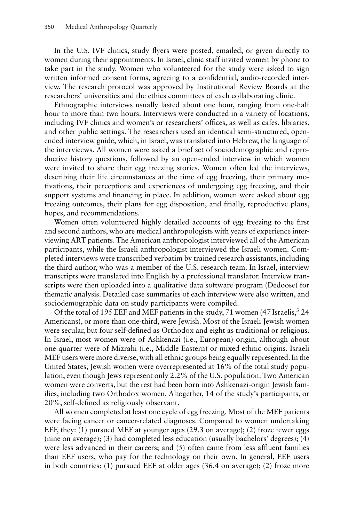In the U.S. IVF clinics, study flyers were posted, emailed, or given directly to women during their appointments. In Israel, clinic staff invited women by phone to take part in the study. Women who volunteered for the study were asked to sign written informed consent forms, agreeing to a confidential, audio-recorded interview. The research protocol was approved by Institutional Review Boards at the researchers' universities and the ethics committees of each collaborating clinic.

Ethnographic interviews usually lasted about one hour, ranging from one-half hour to more than two hours. Interviews were conducted in a variety of locations, including IVF clinics and women's or researchers' offices, as well as cafes, libraries, and other public settings. The researchers used an identical semi-structured, openended interview guide, which, in Israel, was translated into Hebrew, the language of the intervieews. All women were asked a brief set of sociodemographic and reproductive history questions, followed by an open-ended interview in which women were invited to share their egg freezing stories. Women often led the interviews, describing their life circumstances at the time of egg freezing, their primary motivations, their perceptions and experiences of undergoing egg freezing, and their support systems and financing in place. In addition, women were asked about egg freezing outcomes, their plans for egg disposition, and finally, reproductive plans, hopes, and recommendations.

Women often volunteered highly detailed accounts of egg freezing to the first and second authors, who are medical anthropologists with years of experience interviewing ART patients. The American anthropologist interviewed all of the American participants, while the Israeli anthropologist interviewed the Israeli women. Completed interviews were transcribed verbatim by trained research assistants, including the third author, who was a member of the U.S. research team. In Israel, interview transcripts were translated into English by a professional translator. Interview transcripts were then uploaded into a qualitative data software program (Dedoose) for thematic analysis. Detailed case summaries of each interview were also written, and sociodemographic data on study participants were compiled.

Of the total of 195 EEF and MEF patients in the study, 71 women (47 Israelis,  $3\,24$ ) Americans), or more than one-third, were Jewish. Most of the Israeli Jewish women were secular, but four self-defined as Orthodox and eight as traditional or religious. In Israel, most women were of Ashkenazi (i.e., European) origin, although about one-quarter were of Mizrahi (i.e., Middle Eastern) or mixed ethnic origins. Israeli MEF users were more diverse, with all ethnic groups being equally represented. In the United States, Jewish women were overrepresented at 16% of the total study population, even though Jews represent only 2.2% of the U.S. population. Two American women were converts, but the rest had been born into Ashkenazi-origin Jewish families, including two Orthodox women. Altogether, 14 of the study's participants, or 20%, self-defined as religiously observant.

All women completed at least one cycle of egg freezing. Most of the MEF patients were facing cancer or cancer-related diagnoses. Compared to women undertaking EEF, they: (1) pursued MEF at younger ages (29.3 on average); (2) froze fewer eggs (nine on average); (3) had completed less education (usually bachelors' degrees); (4) were less advanced in their careers; and (5) often came from less affluent families than EEF users, who pay for the technology on their own. In general, EEF users in both countries: (1) pursued EEF at older ages (36.4 on average); (2) froze more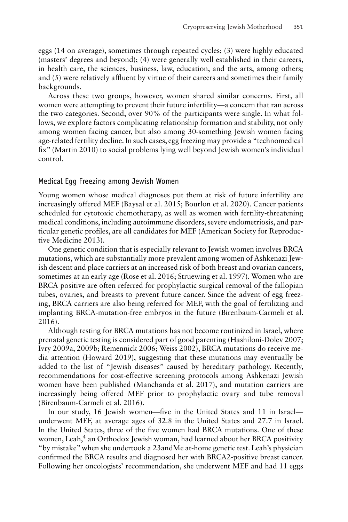eggs (14 on average), sometimes through repeated cycles; (3) were highly educated (masters' degrees and beyond); (4) were generally well established in their careers, in health care, the sciences, business, law, education, and the arts, among others; and (5) were relatively affluent by virtue of their careers and sometimes their family backgrounds.

Across these two groups, however, women shared similar concerns. First, all women were attempting to prevent their future infertility—a concern that ran across the two categories. Second, over 90% of the participants were single. In what follows, we explore factors complicating relationship formation and stability, not only among women facing cancer, but also among 30-something Jewish women facing age-related fertility decline. In such cases, egg freezing may provide a "technomedical fix" (Martin 2010) to social problems lying well beyond Jewish women's individual control.

#### Medical Egg Freezing among Jewish Women

Young women whose medical diagnoses put them at risk of future infertility are increasingly offered MEF (Baysal et al. 2015; Bourlon et al. 2020). Cancer patients scheduled for cytotoxic chemotherapy, as well as women with fertility-threatening medical conditions, including autoimmune disorders, severe endometriosis, and particular genetic profiles, are all candidates for MEF (American Society for Reproductive Medicine 2013).

One genetic condition that is especially relevant to Jewish women involves BRCA mutations, which are substantially more prevalent among women of Ashkenazi Jewish descent and place carriers at an increased risk of both breast and ovarian cancers, sometimes at an early age (Rose et al. 2016; Struewing et al. 1997). Women who are BRCA positive are often referred for prophylactic surgical removal of the fallopian tubes, ovaries, and breasts to prevent future cancer. Since the advent of egg freezing, BRCA carriers are also being referred for MEF, with the goal of fertilizing and implanting BRCA-mutation-free embryos in the future (Birenbaum-Carmeli et al. 2016).

Although testing for BRCA mutations has not become routinized in Israel, where prenatal genetic testing is considered part of good parenting (Hashiloni-Dolev 2007; Ivry 2009a, 2009b; Remennick 2006; Weiss 2002), BRCA mutations do receive media attention (Howard 2019), suggesting that these mutations may eventually be added to the list of "Jewish diseases" caused by hereditary pathology. Recently, recommendations for cost-effective screening protocols among Ashkenazi Jewish women have been published (Manchanda et al. 2017), and mutation carriers are increasingly being offered MEF prior to prophylactic ovary and tube removal (Birenbaum-Carmeli et al. 2016).

In our study, 16 Jewish women—five in the United States and 11 in Israel underwent MEF, at average ages of 32.8 in the United States and 27.7 in Israel. In the United States, three of the five women had BRCA mutations. One of these women, Leah,<sup>4</sup> an Orthodox Jewish woman, had learned about her BRCA positivity "by mistake" when she undertook a 23andMe at-home genetic test. Leah's physician confirmed the BRCA results and diagnosed her with BRCA2-positive breast cancer. Following her oncologists' recommendation, she underwent MEF and had 11 eggs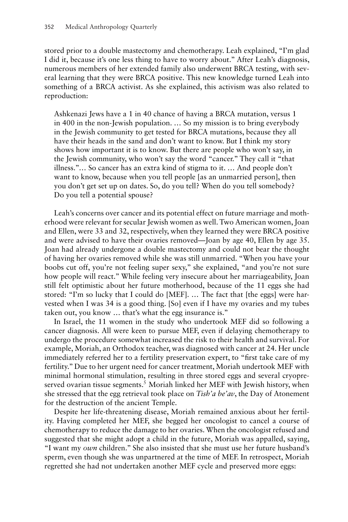stored prior to a double mastectomy and chemotherapy. Leah explained, "I'm glad I did it, because it's one less thing to have to worry about." After Leah's diagnosis, numerous members of her extended family also underwent BRCA testing, with several learning that they were BRCA positive. This new knowledge turned Leah into something of a BRCA activist. As she explained, this activism was also related to reproduction:

Ashkenazi Jews have a 1 in 40 chance of having a BRCA mutation, versus 1 in 400 in the non-Jewish population. … So my mission is to bring everybody in the Jewish community to get tested for BRCA mutations, because they all have their heads in the sand and don't want to know. But I think my story shows how important it is to know. But there are people who won't say, in the Jewish community, who won't say the word "cancer." They call it "that illness."… So cancer has an extra kind of stigma to it. … And people don't want to know, because when you tell people [as an unmarried person], then you don't get set up on dates. So, do you tell? When do you tell somebody? Do you tell a potential spouse?

Leah's concerns over cancer and its potential effect on future marriage and motherhood were relevant for secular Jewish women as well. Two American women, Joan and Ellen, were 33 and 32, respectively, when they learned they were BRCA positive and were advised to have their ovaries removed—Joan by age 40, Ellen by age 35. Joan had already undergone a double mastectomy and could not bear the thought of having her ovaries removed while she was still unmarried. "When you have your boobs cut off, you're not feeling super sexy," she explained, "and you're not sure how people will react." While feeling very insecure about her marriageability, Joan still felt optimistic about her future motherhood, because of the 11 eggs she had stored: "I'm so lucky that I could do [MEF]. … The fact that [the eggs] were harvested when I was 34 is a good thing. [So] even if I have my ovaries and my tubes taken out, you know … that's what the egg insurance is."

In Israel, the 11 women in the study who undertook MEF did so following a cancer diagnosis. All were keen to pursue MEF, even if delaying chemotherapy to undergo the procedure somewhat increased the risk to their health and survival. For example, Moriah, an Orthodox teacher, was diagnosed with cancer at 24. Her uncle immediately referred her to a fertility preservation expert, to "first take care of my fertility." Due to her urgent need for cancer treatment, Moriah undertook MEF with minimal hormonal stimulation, resulting in three stored eggs and several cryopreserved ovarian tissue segments.<sup>5</sup> Moriah linked her MEF with Jewish history, when she stressed that the egg retrieval took place on *Tish'a be'av*, the Day of Atonement for the destruction of the ancient Temple.

Despite her life-threatening disease, Moriah remained anxious about her fertility. Having completed her MEF, she begged her oncologist to cancel a course of chemotherapy to reduce the damage to her ovaries. When the oncologist refused and suggested that she might adopt a child in the future, Moriah was appalled, saying, "I want my *own* children." She also insisted that she must use her future husband's sperm, even though she was unpartnered at the time of MEF. In retrospect, Moriah regretted she had not undertaken another MEF cycle and preserved more eggs: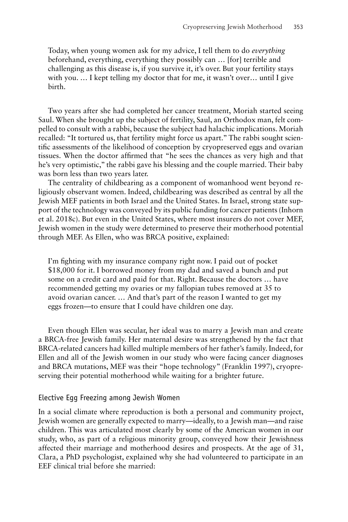Today, when young women ask for my advice, I tell them to do *everything* beforehand, everything, everything they possibly can … [for] terrible and challenging as this disease is, if you survive it, it's over. But your fertility stays with you. … I kept telling my doctor that for me, it wasn't over… until I give birth.

Two years after she had completed her cancer treatment, Moriah started seeing Saul. When she brought up the subject of fertility, Saul, an Orthodox man, felt compelled to consult with a rabbi, because the subject had halachic implications. Moriah recalled: "It tortured us, that fertility might force us apart." The rabbi sought scientific assessments of the likelihood of conception by cryopreserved eggs and ovarian tissues. When the doctor affirmed that "he sees the chances as very high and that he's very optimistic," the rabbi gave his blessing and the couple married. Their baby was born less than two years later.

The centrality of childbearing as a component of womanhood went beyond religiously observant women. Indeed, childbearing was described as central by all the Jewish MEF patients in both Israel and the United States. In Israel, strong state support of the technology was conveyed by its public funding for cancer patients (Inhorn et al. 2018c). But even in the United States, where most insurers do not cover MEF, Jewish women in the study were determined to preserve their motherhood potential through MEF. As Ellen, who was BRCA positive, explained:

I'm fighting with my insurance company right now. I paid out of pocket \$18,000 for it. I borrowed money from my dad and saved a bunch and put some on a credit card and paid for that. Right. Because the doctors … have recommended getting my ovaries or my fallopian tubes removed at 35 to avoid ovarian cancer. … And that's part of the reason I wanted to get my eggs frozen—to ensure that I could have children one day.

Even though Ellen was secular, her ideal was to marry a Jewish man and create a BRCA-free Jewish family. Her maternal desire was strengthened by the fact that BRCA-related cancers had killed multiple members of her father's family. Indeed, for Ellen and all of the Jewish women in our study who were facing cancer diagnoses and BRCA mutations, MEF was their "hope technology" (Franklin 1997), cryopreserving their potential motherhood while waiting for a brighter future.

#### Elective Egg Freezing among Jewish Women

In a social climate where reproduction is both a personal and community project, Jewish women are generally expected to marry—ideally, to a Jewish man—and raise children. This was articulated most clearly by some of the American women in our study, who, as part of a religious minority group, conveyed how their Jewishness affected their marriage and motherhood desires and prospects. At the age of 31, Clara, a PhD psychologist, explained why she had volunteered to participate in an EEF clinical trial before she married: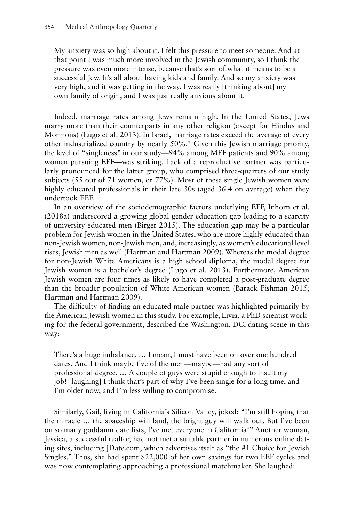My anxiety was so high about it. I felt this pressure to meet someone. And at that point I was much more involved in the Jewish community, so I think the pressure was even more intense, because that's sort of what it means to be a successful Jew. It's all about having kids and family. And so my anxiety was very high, and it was getting in the way. I was really [thinking about] my own family of origin, and I was just really anxious about it.

Indeed, marriage rates among Jews remain high. In the United States, Jews marry more than their counterparts in any other religion (except for Hindus and Mormons) (Lugo et al. 2013). In Israel, marriage rates exceed the average of every other industrialized country by nearly 50%.6 Given this Jewish marriage priority, the level of "singleness" in our study—94% among MEF patients and 90% among women pursuing EEF—was striking. Lack of a reproductive partner was particularly pronounced for the latter group, who comprised three-quarters of our study subjects (55 out of 71 women, or 77%). Most of these single Jewish women were highly educated professionals in their late 30s (aged 36.4 on average) when they undertook EEF.

In an overview of the sociodemographic factors underlying EEF, Inhorn et al. (2018a) underscored a growing global gender education gap leading to a scarcity of university-educated men (Birger 2015). The education gap may be a particular problem for Jewish women in the United States, who are more highly educated than non-Jewish women, non-Jewish men, and, increasingly, as women's educational level rises, Jewish men as well (Hartman and Hartman 2009). Whereas the modal degree for non-Jewish White Americans is a high school diploma, the modal degree for Jewish women is a bachelor's degree (Lugo et al. 2013). Furthermore, American Jewish women are four times as likely to have completed a post-graduate degree than the broader population of White American women (Barack Fishman 2015; Hartman and Hartman 2009).

The difficulty of finding an educated male partner was highlighted primarily by the American Jewish women in this study. For example, Livia, a PhD scientist working for the federal government, described the Washington, DC, dating scene in this way:

There's a huge imbalance. … I mean, I must have been on over one hundred dates. And I think maybe five of the men—maybe—had any sort of professional degree. … A couple of guys were stupid enough to insult my job! [laughing] I think that's part of why I've been single for a long time, and I'm older now, and I'm less willing to compromise.

Similarly, Gail, living in California's Silicon Valley, joked: "I'm still hoping that the miracle … the spaceship will land, the bright guy will walk out. But I've been on so many goddamn date lists, I've met everyone in California!" Another woman, Jessica, a successful realtor, had not met a suitable partner in numerous online dating sites, including JDate.com, which advertises itself as "the #1 Choice for Jewish Singles." Thus, she had spent \$22,000 of her own savings for two EEF cycles and was now contemplating approaching a professional matchmaker. She laughed: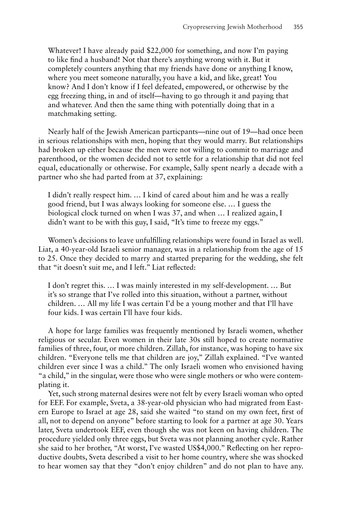Whatever! I have already paid \$22,000 for something, and now I'm paying to like find a husband! Not that there's anything wrong with it. But it completely counters anything that my friends have done or anything I know, where you meet someone naturally, you have a kid, and like, great! You know? And I don't know if I feel defeated, empowered, or otherwise by the egg freezing thing, in and of itself—having to go through it and paying that and whatever. And then the same thing with potentially doing that in a matchmaking setting.

Nearly half of the Jewish American particpants—nine out of 19—had once been in serious relationships with men, hoping that they would marry. But relationships had broken up either because the men were not willing to commit to marriage and parenthood, or the women decided not to settle for a relationship that did not feel equal, educationally or otherwise. For example, Sally spent nearly a decade with a partner who she had parted from at 37, explaining:

I didn't really respect him. … I kind of cared about him and he was a really good friend, but I was always looking for someone else. … I guess the biological clock turned on when I was 37, and when … I realized again, I didn't want to be with this guy, I said, "It's time to freeze my eggs."

Women's decisions to leave unfulfilling relationships were found in Israel as well. Liat, a 40-year-old Israeli senior manager, was in a relationship from the age of 15 to 25. Once they decided to marry and started preparing for the wedding, she felt that "it doesn't suit me, and I left." Liat reflected:

I don't regret this. … I was mainly interested in my self-development. … But it's so strange that I've rolled into this situation, without a partner, without children. … All my life I was certain I'd be a young mother and that I'll have four kids. I was certain I'll have four kids.

A hope for large families was frequently mentioned by Israeli women, whether religious or secular. Even women in their late 30s still hoped to create normative families of three, four, or more children. Zillah, for instance, was hoping to have six children. "Everyone tells me that children are joy," Zillah explained. "I've wanted children ever since I was a child." The only Israeli women who envisioned having "a child," in the singular, were those who were single mothers or who were contemplating it.

Yet, such strong maternal desires were not felt by every Israeli woman who opted for EEF. For example, Sveta, a 38-year-old physician who had migrated from Eastern Europe to Israel at age 28, said she waited "to stand on my own feet, first of all, not to depend on anyone" before starting to look for a partner at age 30. Years later, Sveta undertook EEF, even though she was not keen on having children. The procedure yielded only three eggs, but Sveta was not planning another cycle. Rather she said to her brother, "At worst, I've wasted US\$4,000." Reflecting on her reproductive doubts, Sveta described a visit to her home country, where she was shocked to hear women say that they "don't enjoy children" and do not plan to have any.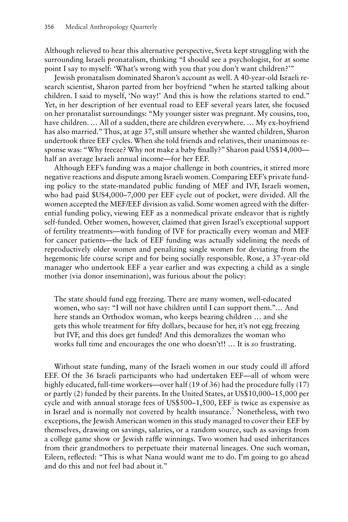Although relieved to hear this alternative perspective, Sveta kept struggling with the surrounding Israeli pronatalism, thinking "I should see a psychologist, for at some point I say to myself: 'What's wrong with you that you don't want children?'"

Jewish pronatalism dominated Sharon's account as well. A 40-year-old Israeli research scientist, Sharon parted from her boyfriend "when he started talking about children. I said to myself, 'No way!' And this is how the relations started to end." Yet, in her description of her eventual road to EEF several years later, she focused on her pronatalist surroundings: "My younger sister was pregnant. My cousins, too, have children. … All of a sudden, there are children everywhere. … My ex-boyfriend has also married." Thus, at age 37, still unsure whether she wanted children, Sharon undertook three EEF cycles. When she told friends and relatives, their unanimous response was: "Why freeze? Why not make a baby finally?" Sharon paid US\$14,000 half an average Israeli annual income—for her EEF.

Although EEF's funding was a major challenge in both countries, it stirred more negative reactions and dispute among Israeli women. Comparing EEF's private funding policy to the state-mandated public funding of MEF and IVF, Israeli women, who had paid \$US4,000–7,000 per EEF cycle out of pocket, were divided. All the women accepted the MEF/EEF division as valid. Some women agreed with the differential funding policy, viewing EEF as a nonmedical private endeavor that is rightly self-funded. Other women, however, claimed that given Israel's exceptional support of fertility treatments—with funding of IVF for practically every woman and MEF for cancer patients—the lack of EEF funding was actually sidelining the needs of reproductively older women and penalizing single women for deviating from the hegemonic life course script and for being socially responsible. Rose, a 37-year-old manager who undertook EEF a year earlier and was expecting a child as a single mother (via donor insemination), was furious about the policy:

The state should fund egg freezing. There are many women, well-educated women, who say: "I will not have children until I can support them."… And here stands an Orthodox woman, who keeps bearing children … and she gets this whole treatment for fifty dollars, because for her, it's not egg freezing but IVF, and this does get funded! And this demoralizes the woman who works full time and encourages the one who doesn't!! … It is *so* frustrating.

Without state funding, many of the Israeli women in our study could ill afford EEF. Of the 36 Israeli participants who had undertaken EEF—all of whom were highly educated, full-time workers—over half (19 of 36) had the procedure fully (17) or partly (2) funded by their parents. In the United States, at US\$10,000–15,000 per cycle and with annual storage fees of US\$500–1,500, EEF is twice as expensive as in Israel and is normally not covered by health insurance.<sup>7</sup> Nonetheless, with two exceptions, the Jewish American women in this study managed to cover their EEF by themselves, drawing on savings, salaries, or a random source, such as savings from a college game show or Jewish raffle winnings. Two women had used inheritances from their grandmothers to perpetuate their maternal lineages. One such woman, Eileen, reflected: "This is what Nana would want me to do. I'm going to go ahead and do this and not feel bad about it."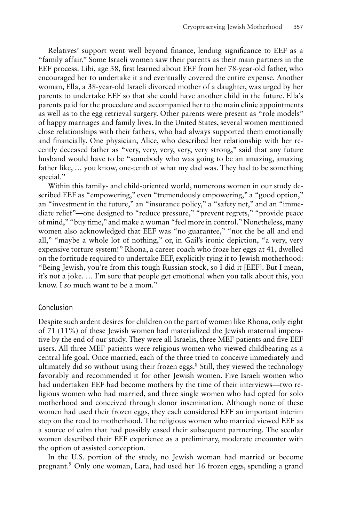Relatives' support went well beyond finance, lending significance to EEF as a "family affair." Some Israeli women saw their parents as their main partners in the EEF process. Libi, age 38, first learned about EEF from her 78-year-old father, who encouraged her to undertake it and eventually covered the entire expense. Another woman, Ella, a 38-year-old Israeli divorced mother of a daughter, was urged by her parents to undertake EEF so that she could have another child in the future. Ella's parents paid for the procedure and accompanied her to the main clinic appointments as well as to the egg retrieval surgery. Other parents were present as "role models" of happy marriages and family lives. In the United States, several women mentioned close relationships with their fathers, who had always supported them emotionally and financially. One physician, Alice, who described her relationship with her recently deceased father as "very, very, very, very, very strong," said that any future husband would have to be "somebody who was going to be an amazing, amazing father like, … you know, one-tenth of what my dad was. They had to be something special."

Within this family- and child-oriented world, numerous women in our study described EEF as "empowering," even "tremendously empowering," a "good option," an "investment in the future," an "insurance policy," a "safety net," and an "immediate relief"—one designed to "reduce pressure," "prevent regrets," "provide peace of mind," "buy time," and make a woman "feel more in control."Nonetheless, many women also acknowledged that EEF was "no guarantee," "not the be all and end all," "maybe a whole lot of nothing," or, in Gail's ironic depiction, "a very, very expensive torture system!" Rhona, a career coach who froze her eggs at 41, dwelled on the fortitude required to undertake EEF, explicitly tying it to Jewish motherhood: "Being Jewish, you're from this tough Russian stock, so I did it [EEF]. But I mean, it's not a joke. … I'm sure that people get emotional when you talk about this, you know. I *so* much want to be a mom."

## Conclusion

Despite such ardent desires for children on the part of women like Rhona, only eight of 71 (11%) of these Jewish women had materialized the Jewish maternal imperative by the end of our study. They were all Israelis, three MEF patients and five EEF users. All three MEF patients were religious women who viewed childbearing as a central life goal. Once married, each of the three tried to conceive immediately and ultimately did so without using their frozen eggs. $8$  Still, they viewed the technology favorably and recommended it for other Jewish women. Five Israeli women who had undertaken EEF had become mothers by the time of their interviews—two religious women who had married, and three single women who had opted for solo motherhood and conceived through donor insemination. Although none of these women had used their frozen eggs, they each considered EEF an important interim step on the road to motherhood. The religious women who married viewed EEF as a source of calm that had possibly eased their subsequent partnering. The secular women described their EEF experience as a preliminary, moderate encounter with the option of assisted conception.

In the U.S. portion of the study, no Jewish woman had married or become pregnant.9 Only one woman, Lara, had used her 16 frozen eggs, spending a grand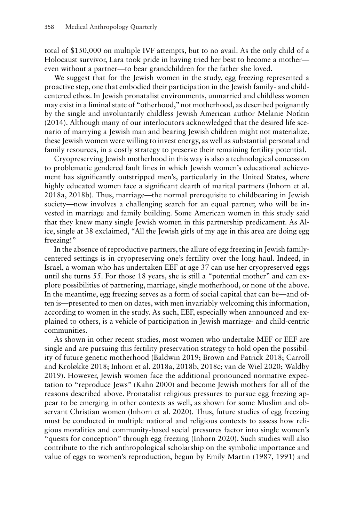total of \$150,000 on multiple IVF attempts, but to no avail. As the only child of a Holocaust survivor, Lara took pride in having tried her best to become a mother even without a partner—to bear grandchildren for the father she loved.

We suggest that for the Jewish women in the study, egg freezing represented a proactive step, one that embodied their participation in the Jewish family- and childcentered ethos. In Jewish pronatalist environments, unmarried and childless women may exist in a liminal state of "otherhood," not motherhood, as described poignantly by the single and involuntarily childless Jewish American author Melanie Notkin (2014). Although many of our interlocutors acknowledged that the desired life scenario of marrying a Jewish man and bearing Jewish children might not materialize, these Jewish women were willing to invest energy, as well as substantial personal and family resources, in a costly strategy to preserve their remaining fertility potential.

Cryopreserving Jewish motherhood in this way is also a technological concession to problematic gendered fault lines in which Jewish women's educational achievement has significantly outstripped men's, particularly in the United States, where highly educated women face a significant dearth of marital partners (Inhorn et al. 2018a, 2018b). Thus, marriage—the normal prerequisite to childbearing in Jewish society—now involves a challenging search for an equal partner, who will be invested in marriage and family building. Some American women in this study said that they knew many single Jewish women in this partnership predicament. As Alice, single at 38 exclaimed, "All the Jewish girls of my age in this area are doing egg freezing!"

In the absence of reproductive partners, the allure of egg freezing in Jewish familycentered settings is in cryopreserving one's fertility over the long haul. Indeed, in Israel, a woman who has undertaken EEF at age 37 can use her cryopreserved eggs until she turns 55. For those 18 years, she is still a "potential mother" and can explore possibilities of partnering, marriage, single motherhood, or none of the above. In the meantime, egg freezing serves as a form of social capital that can be—and often is—presented to men on dates, with men invariably welcoming this information, according to women in the study. As such, EEF, especially when announced and explained to others, is a vehicle of participation in Jewish marriage- and child-centric communities.

As shown in other recent studies, most women who undertake MEF or EEF are single and are pursuing this fertility preservation strategy to hold open the possibility of future genetic motherhood (Baldwin 2019; Brown and Patrick 2018; Carroll and Kroløkke 2018; Inhorn et al. 2018a, 2018b, 2018c; van de Wiel 2020; Waldby 2019). However, Jewish women face the additional pronounced normative expectation to "reproduce Jews" (Kahn 2000) and become Jewish mothers for all of the reasons described above. Pronatalist religious pressures to pursue egg freezing appear to be emerging in other contexts as well, as shown for some Muslim and observant Christian women (Inhorn et al. 2020). Thus, future studies of egg freezing must be conducted in multiple national and religious contexts to assess how religious moralities and community-based social pressures factor into single women's "quests for conception" through egg freezing (Inhorn 2020). Such studies will also contribute to the rich anthropological scholarship on the symbolic importance and value of eggs to women's reproduction, begun by Emily Martin (1987, 1991) and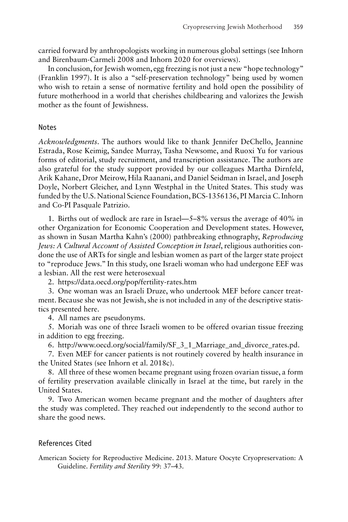carried forward by anthropologists working in numerous global settings (see Inhorn and Birenbaum-Carmeli 2008 and Inhorn 2020 for overviews).

In conclusion, for Jewish women, egg freezing is not just a new "hope technology" (Franklin 1997). It is also a "self-preservation technology" being used by women who wish to retain a sense of normative fertility and hold open the possibility of future motherhood in a world that cherishes childbearing and valorizes the Jewish mother as the fount of Jewishness.

## Notes

*Acknowledgments*. The authors would like to thank Jennifer DeChello, Jeannine Estrada, Rose Keimig, Sandee Murray, Tasha Newsome, and Ruoxi Yu for various forms of editorial, study recruitment, and transcription assistance. The authors are also grateful for the study support provided by our colleagues Martha Dirnfeld, Arik Kahane, Dror Meirow, Hila Raanani, and Daniel Seidman in Israel, and Joseph Doyle, Norbert Gleicher, and Lynn Westphal in the United States. This study was funded by the U.S. National Science Foundation, BCS-1356136, PI Marcia C. Inhorn and Co-PI Pasquale Patrizio.

1. Births out of wedlock are rare in Israel—5–8% versus the average of 40% in other Organization for Economic Cooperation and Development states. However, as shown in Susan Martha Kahn's (2000) pathbreaking ethnography, *Reproducing Jews: A Cultural Account of Assisted Conception in Israel*, religious authorities condone the use of ARTs for single and lesbian women as part of the larger state project to "reproduce Jews." In this study, one Israeli woman who had undergone EEF was a lesbian. All the rest were heterosexual

2.<https://data.oecd.org/pop/fertility-rates.htm>

3. One woman was an Israeli Druze, who undertook MEF before cancer treatment. Because she was not Jewish, she is not included in any of the descriptive statistics presented here.

4. All names are pseudonyms.

5. Moriah was one of three Israeli women to be offered ovarian tissue freezing in addition to egg freezing.

6. [http://www.oecd.org/social/family/SF\\_3\\_1\\_Marriage\\_and\\_divorce\\_rates.pd.](http://www.oecd.org/social/family/SF_3_1_Marriage_and_divorce_rates.pd)

7. Even MEF for cancer patients is not routinely covered by health insurance in the United States (see Inhorn et al. 2018c).

8. All three of these women became pregnant using frozen ovarian tissue, a form of fertility preservation available clinically in Israel at the time, but rarely in the United States.

9. Two American women became pregnant and the mother of daughters after the study was completed. They reached out independently to the second author to share the good news.

# References Cited

American Society for Reproductive Medicine. 2013. Mature Oocyte Cryopreservation: A Guideline. *Fertility and Sterility* 99: 37–43.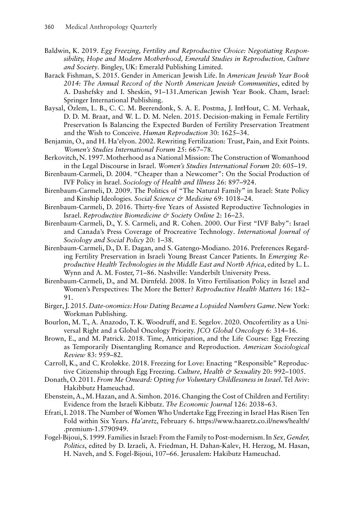- Baldwin, K. 2019. *Egg Freezing, Fertility and Reproductive Choice: Negotiating Responsibility, Hope and Modern Motherhood, Emerald Studies in Reproduction, Culture and Society*. Bingley, UK: Emerald Publishing Limited.
- Barack Fishman, S. 2015. Gender in American Jewish Life. In *American Jewish Year Book 2014: The Annual Record of the North American Jewish Communities*, edited by A. Dashefsky and I. Sheskin, 91–131.American Jewish Year Book. Cham, Israel: Springer International Publishing.
- Baysal, Özlem, L. B., C. C. M. Beerendonk, S. A. E. Postma, J. IntHout, C. M. Verhaak, D. D. M. Braat, and W. L. D. M. Nelen. 2015. Decision-making in Female Fertility Preservation Is Balancing the Expected Burden of Fertility Preservation Treatment and the Wish to Conceive. *Human Reproduction* 30: 1625–34.
- Benjamin, O., and H. Ha'elyon. 2002. Rewriting Fertilization: Trust, Pain, and Exit Points. *Women's Studies International Forum* 25: 667–78.
- Berkovitch, N. 1997.Motherhood as a National Mission: The Construction of Womanhood in the Legal Discourse in Israel. *Women's Studies International Forum* 20: 605–19.
- Birenbaum-Carmeli, D. 2004. "Cheaper than a Newcomer": On the Social Production of IVF Policy in Israel. *Sociology of Health and Illness* 26: 897–924.
- Birenbaum-Carmeli, D. 2009. The Politics of "The Natural Family" in Israel: State Policy and Kinship Ideologies. *Social Science & Medicine* 69: 1018–24.
- Birenbaum-Carmeli, D. 2016. Thirty-five Years of Assisted Reproductive Technologies in Israel. *Reproductive Biomedicine & Society Online* 2: 16–23.
- Birenbaum-Carmeli, D., Y. S. Carmeli, and R. Cohen. 2000. Our First "IVF Baby": Israel and Canada's Press Coverage of Procreative Technology. *International Journal of Sociology and Social Policy* 20: 1–38.
- Birenbaum-Carmeli, D., D. E. Dagan, and S. Gatengo-Modiano. 2016. Preferences Regarding Fertility Preservation in Israeli Young Breast Cancer Patients. In *Emerging Reproductive Health Technologies in the Middle East and North Africa*, edited by L. L. Wynn and A. M. Foster, 71–86. Nashville: Vanderbilt University Press.
- Birenbaum-Carmeli, D., and M. Dirnfeld. 2008. In Vitro Fertilisation Policy in Israel and Women's Perspectives: The More the Better? *Reproductive Health Matters* 16: 182– 91.
- Birger, J. 2015. *Date-onomics: How Dating Became a Lopsided Numbers Game*. New York: Workman Publishing.
- Bourlon, M. T., A. Anazodo, T. K. Woodruff, and E. Segelov. 2020. Oncofertility as a Universal Right and a Global Oncology Priority. *JCO Global Oncology* 6: 314–16.
- Brown, E., and M. Patrick. 2018. Time, Anticipation, and the Life Course: Egg Freezing as Temporarily Disentangling Romance and Reproduction. *American Sociological Review* 83: 959–82.
- Carroll, K., and C. Kroløkke. 2018. Freezing for Love: Enacting "Responsible" Reproductive Citizenship through Egg Freezing. *Culture, Health & Sexuality* 20: 992–1005.
- Donath, O. 2011. *From Me Onward: Opting for Voluntary Childlessness in Israel*. Tel Aviv: Hakibbutz Hameuchad.
- Ebenstein, A., M. Hazan, and A. Simhon. 2016. Changing the Cost of Children and Fertility: Evidence from the Israeli Kibbutz. *The Economic Journal* 126: 2038–63.
- Efrati, I. 2018. The Number of Women Who Undertake Egg Freezing in Israel Has Risen Ten Fold within Six Years. *Ha'aretz*, February 6. [https://www.haaretz.co.il/news/health/](https://www.haaretz.co.il/news/health/.premium-1.5790949) [.premium-1.5790949.](https://www.haaretz.co.il/news/health/.premium-1.5790949)
- Fogel-Bijoui, S. 1999. Families in Israel: From the Family to Post-modernism. In *Sex, Gender, Politics*, edited by D. Izraeli, A. Friedman, H. Dahan-Kalev, H. Herzog, M. Hasan, H. Naveh, and S. Fogel-Bijoui, 107–66. Jerusalem: Hakibutz Hameuchad.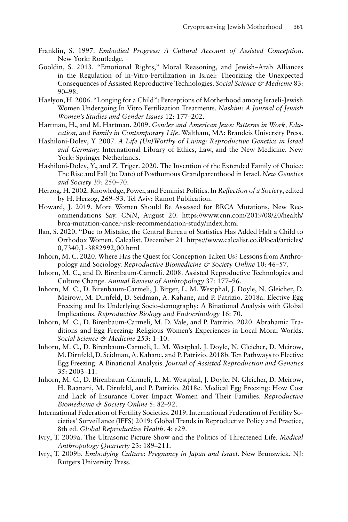- Franklin, S. 1997. *Embodied Progress: A Cultural Account of Assisted Conception*. New York: Routledge.
- Gooldin, S. 2013. "Emotional Rights," Moral Reasoning, and Jewish–Arab Alliances in the Regulation of in-Vitro-Fertilization in Israel: Theorizing the Unexpected Consequences of Assisted Reproductive Technologies. *Social Science & Medicine* 83: 90–98.
- Haelyon, H. 2006. "Longing for a Child": Perceptions of Motherhood among Israeli-Jewish Women Undergoing In Vitro Fertilization Treatments. *Nashim: A Journal of Jewish Women's Studies and Gender Issues* 12: 177–202.
- Hartman, H., and M. Hartman. 2009. *Gender and American Jews: Patterns in Work, Education, and Family in Contemporary Life*. Waltham, MA: Brandeis University Press.
- Hashiloni-Dolev, Y. 2007. *A Life (Un)Worthy of Living: Reproductive Genetics in Israel and Germany.* International Library of Ethics, Law, and the New Medicine. New York: Springer Netherlands.
- Hashiloni-Dolev, Y., and Z. Triger. 2020. The Invention of the Extended Family of Choice: The Rise and Fall (to Date) of Posthumous Grandparenthood in Israel. *New Genetics and Society* 39: 250–70.
- Herzog, H. 2002. Knowledge, Power, and Feminist Politics. In *Reflection of a Society*, edited by H. Herzog, 269–93. Tel Aviv: Ramot Publication.
- Howard, J. 2019. More Women Should Be Assessed for BRCA Mutations, New Recommendations Say. *CNN*, August 20. [https://www.cnn.com/2019/08/20/health/](https://www.cnn.com/2019/08/20/health/brca-mutation-cancer-risk-recommendation-study/index.html) [brca-mutation-cancer-risk-recommendation-study/index.html](https://www.cnn.com/2019/08/20/health/brca-mutation-cancer-risk-recommendation-study/index.html)
- Ilan, S. 2020. "Due to Mistake, the Central Bureau of Statistics Has Added Half a Child to Orthodox Women. Calcalist. December 21. [https://www.calcalist.co.il/local/articles/](https://www.calcalist.co.il/local/articles/0,7340,L-3882992,00.html) [0,7340,L-3882992,00.html](https://www.calcalist.co.il/local/articles/0,7340,L-3882992,00.html)
- Inhorn, M. C. 2020. Where Has the Quest for Conception Taken Us? Lessons from Anthropology and Sociology. *Reproductive Biomedicine & Society Online* 10: 46–57.
- Inhorn, M. C., and D. Birenbaum-Carmeli. 2008. Assisted Reproductive Technologies and Culture Change. *Annual Review of Anthropology* 37: 177–96.
- Inhorn, M. C., D. Birenbaum-Carmeli, J. Birger, L. M. Westphal, J. Doyle, N. Gleicher, D. Meirow, M. Dirnfeld, D. Seidman, A. Kahane, and P. Patrizio. 2018a. Elective Egg Freezing and Its Underlying Socio-demography: A Binational Analysis with Global Implications. *Reproductive Biology and Endocrinology* 16: 70.
- Inhorn, M. C., D. Birenbaum-Carmeli, M. D. Vale, and P. Patrizio. 2020. Abrahamic Traditions and Egg Freezing: Religious Women's Experiences in Local Moral Worlds. *Social Science & Medicine* 253: 1–10.
- Inhorn, M. C., D. Birenbaum-Carmeli, L. M. Westphal, J. Doyle, N. Gleicher, D. Meirow, M. Dirnfeld, D. Seidman, A. Kahane, and P. Patrizio. 2018b. Ten Pathways to Elective Egg Freezing: A Binational Analysis. *Journal of Assisted Reproduction and Genetics* 35: 2003–11.
- Inhorn, M. C., D. Birenbaum-Carmeli, L. M. Westphal, J. Doyle, N. Gleicher, D. Meirow, H. Raanani, M. Dirnfeld, and P. Patrizio. 2018c. Medical Egg Freezing: How Cost and Lack of Insurance Cover Impact Women and Their Families. *Reproductive Biomedicine & Society Online* 5: 82–92.
- International Federation of Fertility Societies. 2019. International Federation of Fertility Societies' Surveillance (IFFS) 2019: Global Trends in Reproductive Policy and Practice, 8th ed. *Global Reproductive Health*. 4: e29.
- Ivry, T. 2009a. The Ultrasonic Picture Show and the Politics of Threatened Life. *Medical Anthropology Quarterly* 23: 189–211.
- Ivry, T. 2009b. *Embodying Culture: Pregnancy in Japan and Israel*. New Brunswick, NJ: Rutgers University Press.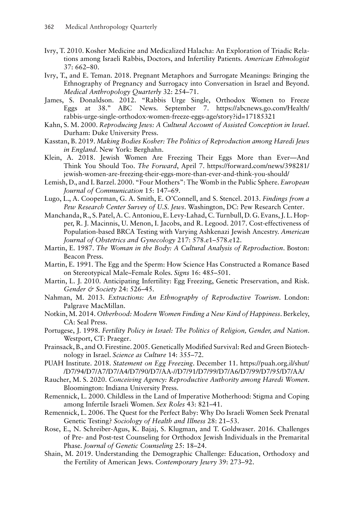- Ivry, T. 2010. Kosher Medicine and Medicalized Halacha: An Exploration of Triadic Relations among Israeli Rabbis, Doctors, and Infertility Patients. *American Ethnologist* 37: 662–80.
- Ivry, T., and E. Teman. 2018. Pregnant Metaphors and Surrogate Meanings: Bringing the Ethnography of Pregnancy and Surrogacy into Conversation in Israel and Beyond. *Medical Anthropology Quarterly* 32: 254–71.
- James, S. Donaldson. 2012. "Rabbis Urge Single, Orthodox Women to Freeze Eggs at 38." ABC News. September 7. [https://abcnews.go.com/Health/](https://abcnews.go.com/Health/rabbis-urge-single-orthodox-women-freeze-eggs-age/story?id=17185321) [rabbis-urge-single-orthodox-women-freeze-eggs-age/story?id=17185321](https://abcnews.go.com/Health/rabbis-urge-single-orthodox-women-freeze-eggs-age/story?id=17185321)
- Kahn, S. M. 2000. *Reproducing Jews: A Cultural Account of Assisted Conception in Israel*. Durham: Duke University Press.
- Kasstan, B. 2019. *Making Bodies Kosher: The Politics of Reproduction among Haredi Jews in England*. New York: Berghahn.
- Klein, A. 2018. Jewish Women Are Freezing Their Eggs More than Ever—And Think You Should Too. *The Forward*, April 7. [https://forward.com/news/398281/](https://forward.com/news/398281/jewish-women-are-freezing-their-eggs-more-than-ever-and-think-you-should/) [jewish-women-are-freezing-their-eggs-more-than-ever-and-think-you-should/](https://forward.com/news/398281/jewish-women-are-freezing-their-eggs-more-than-ever-and-think-you-should/)
- Lemish, D., and I. Barzel. 2000. "Four Mothers": The Womb in the Public Sphere. *European Journal of Communication* 15: 147–69.
- Lugo, L., A. Cooperman, G. A. Smith, E. O'Connell, and S. Stencel. 2013. *Findings from a Pew Research Center Survey of U.S. Jews*. Washington, DC: Pew Research Center.
- Manchanda, R., S. Patel, A. C. Antoniou, E. Levy-Lahad, C. Turnbull, D. G. Evans, J. L. Hopper, R. J. Macinnis, U. Menon, I. Jacobs, and R. Legood. 2017. Cost-effectiveness of Population-based BRCA Testing with Varying Ashkenazi Jewish Ancestry. *American Journal of Obstetrics and Gynecology* 217: 578.e1–578.e12.
- Martin, E. 1987. *The Woman in the Body: A Cultural Analysis of Reproduction*. Boston: Beacon Press.
- Martin, E. 1991. The Egg and the Sperm: How Science Has Constructed a Romance Based on Stereotypical Male–Female Roles. *Signs* 16: 485–501.
- Martin, L. J. 2010. Anticipating Infertility: Egg Freezing, Genetic Preservation, and Risk. *Gender & Society* 24: 526–45.
- Nahman, M. 2013. *Extractions: An Ethnography of Reproductive Tourism*. London: Palgrave MacMillan.
- Notkin, M. 2014. *Otherhood: Modern Women Finding a New Kind of Happiness*. Berkeley, CA: Seal Press.
- Portugese, J. 1998. *Fertility Policy in Israel: The Politics of Religion, Gender, and Nation*. Westport, CT: Praeger.
- Prainsack, B., and O. Firestine. 2005. Genetically Modified Survival: Red and Green Biotechnology in Israel. *Science as Culture* 14: 355–72.
- PUAH Institute. 2018. *Statement on Egg Freezing*. December 11. [https://puah.org.il/shut/](https://puah.org.il/shut//D7/94/D7/A7/D7/A4/D7/90/D7/AA-//D7/91/D7/99/D7/A6/D7/99/D7/95/D7/AA/) [/D7/94/D7/A7/D7/A4/D7/90/D7/AA-//D7/91/D7/99/D7/A6/D7/99/D7/95/D7/AA/](https://puah.org.il/shut//D7/94/D7/A7/D7/A4/D7/90/D7/AA-//D7/91/D7/99/D7/A6/D7/99/D7/95/D7/AA/)
- Raucher, M. S. 2020. *Conceiving Agency: Reproductive Authority among Haredi Women*. Bloomington: Indiana University Press.
- Remennick, L. 2000. Childless in the Land of Imperative Motherhood: Stigma and Coping among Infertile Israeli Women. *Sex Roles* 43: 821–41.
- Remennick, L. 2006. The Quest for the Perfect Baby: Why Do Israeli Women Seek Prenatal Genetic Testing? *Sociology of Health and Illness* 28: 21–53.
- Rose, E., N. Schreiber-Agus, K. Bajaj, S. Klugman, and T. Goldwaser. 2016. Challenges of Pre- and Post-test Counseling for Orthodox Jewish Individuals in the Premarital Phase. *Journal of Genetic Counseling* 25: 18–24.
- Shain, M. 2019. Understanding the Demographic Challenge: Education, Orthodoxy and the Fertility of American Jews. *Contemporary Jewry* 39: 273–92.